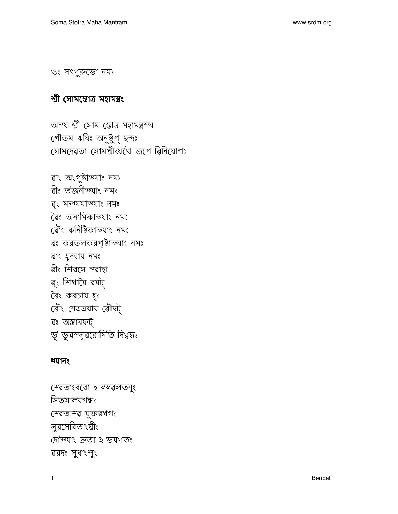স্বেতাংবরো ২ স্জ্বলতনুং সিতমাল্যগন্ধং স্বেতাস্ব যুক্তরথগং সুরসেৱিতাংঘীং দেভ্যাং দ্ৰুতা ২ ভযগতং ৱরদং সুধাংশুং

## ধ্যানং

ৱাং অংগুষ্টাভ্যাং নমঃ ৱীং ৰ্তজনীভ্যাং নমঃ ৰ্ং মদ্ধ্যমাভ্যাং নমঃ ৱৈং অনামিকাভ্যাং নমঃ ৰৌং কনিষ্টিকাভ্যাং নমঃ ৱঃ করতলকরপৃষ্টাভ্যাং নমঃ ৱাং হৃদযায নমঃ ৱীং শিরসে স্ৱাহা ৰ্ং শিখাযৈ ৱষট্ ৱৈং কৱচায হং ৰৌং নেত্ৰত্ৰযায ৰৌষট্ ৱঃ অন্ত্ৰাযফট্ ৰ্ভূ ভুৱস্সুৱৰোমিতি দিগ্বন্ধঃ

অস্য শ্ৰী সোম স্তোত্ৰ মহামন্ত্ৰস্য গৌতম ঋষিঃ অনুষ্টুপ্ ছন্দঃ সোমদেৱতা সোমপ্ৰীৎযখে জপে ৱিনিযোগঃ

## শ্ৰী সোমস্তোত্ৰ মহামন্ত্ৰং

ওং সংগুরুডো নমঃ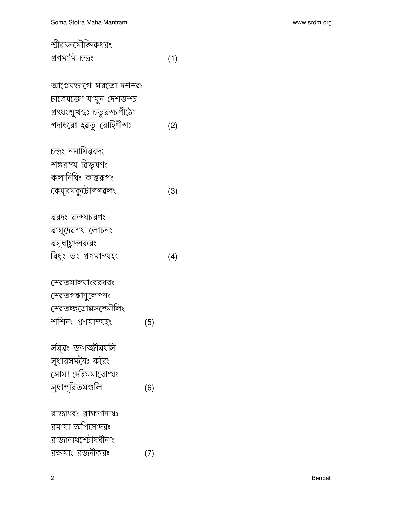| প্ৰণমামি চন্দ্ৰং                  |     | (1) |
|-----------------------------------|-----|-----|
| আগ্নেযভাগে সরতো দশশ্বঃ            |     |     |
| চাত্রেযজো যামুন দেশজশ্চ           |     |     |
| প্রৎযংশ্মুখস্থঃ চতুরস্চপীঠো       |     |     |
| গদাধরো হৱতু রোহিণীশঃ              |     | (2) |
| চন্দ্ৰং নমামিৱরদং                 |     |     |
| শঙ্করস্য ৱিভূষণং                  |     |     |
| কলানিধিং কান্তরূপং                |     |     |
| কেয্রমকুটোস্জ্ৱলং                 |     | (3) |
| ৱরদং ৱন্দ্যচরণং                   |     |     |
| ৱাসুদেৱস্য লোচনং                  |     |     |
| ৱসুধাহ্লাদনকরং                    |     |     |
| ৱিধুং তং প্ৰণমাম্যহং              |     | (4) |
| স্ব্রেতমাল্যাংবরধরং               |     |     |
| স্বেতগন্ধানুলেপনং                 |     |     |
| স্ব্রেতচ্ছত্রোল্লসন্দেমীলিং       |     |     |
| শশিনং প্ৰণমাম্যহং                 | (5) |     |
| ৰ্সৱ্ৱং জগজ্জীৱ <mark>য</mark> সি |     |     |
| সুধারসমযৈঃ করৈঃ                   |     |     |
| সোম! দেহিমমারোর্ল্যং              |     |     |
| সুধাপূরিতমণ্ডলি                   | (6) |     |
| রাজাৎৱং ৱাহ্মণানাঞ্চ              |     |     |
| রমাযা অপিসোদরঃ                    |     |     |
| রাজানাথস্চৌষধীনাং                 |     |     |
| রক্ষমাং রজনীকরঃ                   | (7) |     |

 $\overline{2}$ 

স্রীৱৎসমৌক্তিকধরং